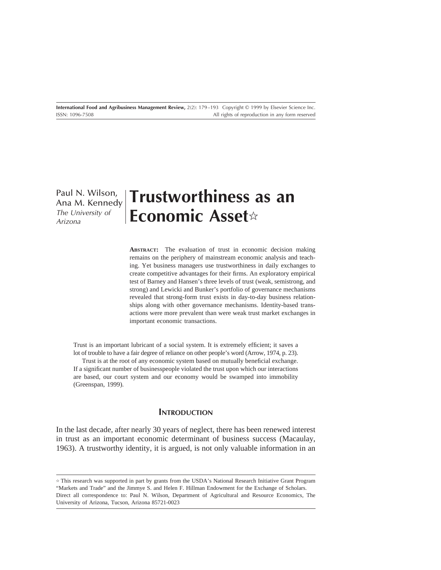Paul N. Wilson, Ana M. Kennedy The University of Arizona

# **Trustworthiness as an Economic Asset**<

**ABSTRACT:** The evaluation of trust in economic decision making remains on the periphery of mainstream economic analysis and teaching. Yet business managers use trustworthiness in daily exchanges to create competitive advantages for their firms. An exploratory empirical test of Barney and Hansen's three levels of trust (weak, semistrong, and strong) and Lewicki and Bunker's portfolio of governance mechanisms revealed that strong-form trust exists in day-to-day business relationships along with other governance mechanisms. Identity-based transactions were more prevalent than were weak trust market exchanges in important economic transactions.

Trust is an important lubricant of a social system. It is extremely efficient; it saves a lot of trouble to have a fair degree of reliance on other people's word (Arrow, 1974, p. 23).

Trust is at the root of any economic system based on mutually beneficial exchange. If a significant number of businesspeople violated the trust upon which our interactions are based, our court system and our economy would be swamped into immobility (Greenspan, 1999).

## **INTRODUCTION**

In the last decade, after nearly 30 years of neglect, there has been renewed interest in trust as an important economic determinant of business success (Macaulay, 1963). A trustworthy identity, it is argued, is not only valuable information in an

<sup>&</sup>lt; This research was supported in part by grants from the USDA's National Research Initiative Grant Program "Markets and Trade" and the Jimmye S. and Helen F. Hillman Endowment for the Exchange of Scholars. Direct all correspondence to: Paul N. Wilson, Department of Agricultural and Resource Economics, The University of Arizona, Tucson, Arizona 85721-0023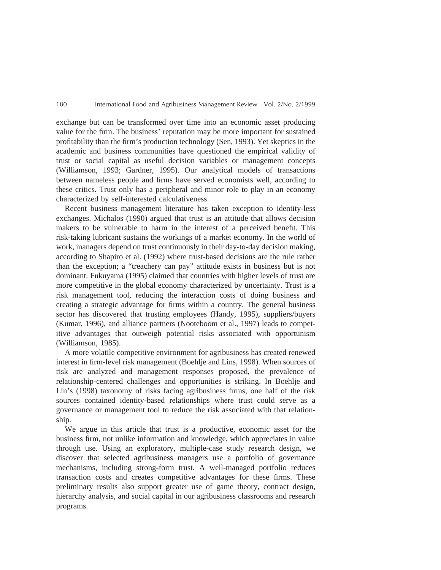exchange but can be transformed over time into an economic asset producing value for the firm. The business' reputation may be more important for sustained profitability than the firm's production technology (Sen, 1993). Yet skeptics in the academic and business communities have questioned the empirical validity of trust or social capital as useful decision variables or management concepts (Williamson, 1993; Gardner, 1995). Our analytical models of transactions between nameless people and firms have served economists well, according to these critics. Trust only has a peripheral and minor role to play in an economy characterized by self-interested calculativeness.

Recent business management literature has taken exception to identity-less exchanges. Michalos (1990) argued that trust is an attitude that allows decision makers to be vulnerable to harm in the interest of a perceived benefit. This risk-taking lubricant sustains the workings of a market economy. In the world of work, managers depend on trust continuously in their day-to-day decision making, according to Shapiro et al. (1992) where trust-based decisions are the rule rather than the exception; a "treachery can pay" attitude exists in business but is not dominant. Fukuyama (1995) claimed that countries with higher levels of trust are more competitive in the global economy characterized by uncertainty. Trust is a risk management tool, reducing the interaction costs of doing business and creating a strategic advantage for firms within a country. The general business sector has discovered that trusting employees (Handy, 1995), suppliers/buyers (Kumar, 1996), and alliance partners (Nooteboom et al., 1997) leads to competitive advantages that outweigh potential risks associated with opportunism (Williamson, 1985).

A more volatile competitive environment for agribusiness has created renewed interest in firm-level risk management (Boehlje and Lins, 1998). When sources of risk are analyzed and management responses proposed, the prevalence of relationship-centered challenges and opportunities is striking. In Boehlje and Lin's (1998) taxonomy of risks facing agribusiness firms, one half of the risk sources contained identity-based relationships where trust could serve as a governance or management tool to reduce the risk associated with that relationship.

We argue in this article that trust is a productive, economic asset for the business firm, not unlike information and knowledge, which appreciates in value through use. Using an exploratory, multiple-case study research design, we discover that selected agribusiness managers use a portfolio of governance mechanisms, including strong-form trust. A well-managed portfolio reduces transaction costs and creates competitive advantages for these firms. These preliminary results also support greater use of game theory, contract design, hierarchy analysis, and social capital in our agribusiness classrooms and research programs.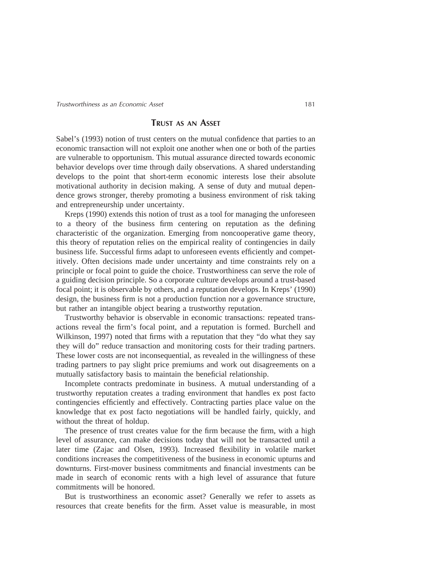# **TRUST AS AN ASSET**

Sabel's (1993) notion of trust centers on the mutual confidence that parties to an economic transaction will not exploit one another when one or both of the parties are vulnerable to opportunism. This mutual assurance directed towards economic behavior develops over time through daily observations. A shared understanding develops to the point that short-term economic interests lose their absolute motivational authority in decision making. A sense of duty and mutual dependence grows stronger, thereby promoting a business environment of risk taking and entrepreneurship under uncertainty.

Kreps (1990) extends this notion of trust as a tool for managing the unforeseen to a theory of the business firm centering on reputation as the defining characteristic of the organization. Emerging from noncooperative game theory, this theory of reputation relies on the empirical reality of contingencies in daily business life. Successful firms adapt to unforeseen events efficiently and competitively. Often decisions made under uncertainty and time constraints rely on a principle or focal point to guide the choice. Trustworthiness can serve the role of a guiding decision principle. So a corporate culture develops around a trust-based focal point; it is observable by others, and a reputation develops. In Kreps' (1990) design, the business firm is not a production function nor a governance structure, but rather an intangible object bearing a trustworthy reputation.

Trustworthy behavior is observable in economic transactions: repeated transactions reveal the firm's focal point, and a reputation is formed. Burchell and Wilkinson, 1997) noted that firms with a reputation that they "do what they say they will do" reduce transaction and monitoring costs for their trading partners. These lower costs are not inconsequential, as revealed in the willingness of these trading partners to pay slight price premiums and work out disagreements on a mutually satisfactory basis to maintain the beneficial relationship.

Incomplete contracts predominate in business. A mutual understanding of a trustworthy reputation creates a trading environment that handles ex post facto contingencies efficiently and effectively. Contracting parties place value on the knowledge that ex post facto negotiations will be handled fairly, quickly, and without the threat of holdup.

The presence of trust creates value for the firm because the firm, with a high level of assurance, can make decisions today that will not be transacted until a later time (Zajac and Olsen, 1993). Increased flexibility in volatile market conditions increases the competitiveness of the business in economic upturns and downturns. First-mover business commitments and financial investments can be made in search of economic rents with a high level of assurance that future commitments will be honored.

But is trustworthiness an economic asset? Generally we refer to assets as resources that create benefits for the firm. Asset value is measurable, in most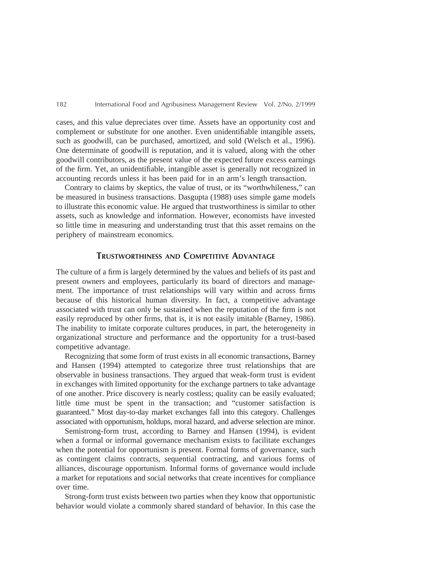cases, and this value depreciates over time. Assets have an opportunity cost and complement or substitute for one another. Even unidentifiable intangible assets, such as goodwill, can be purchased, amortized, and sold (Welsch et al., 1996). One determinate of goodwill is reputation, and it is valued, along with the other goodwill contributors, as the present value of the expected future excess earnings of the firm. Yet, an unidentifiable, intangible asset is generally not recognized in accounting records unless it has been paid for in an arm's length transaction.

Contrary to claims by skeptics, the value of trust, or its "worthwhileness," can be measured in business transactions. Dasgupta (1988) uses simple game models to illustrate this economic value. He argued that trustworthiness is similar to other assets, such as knowledge and information. However, economists have invested so little time in measuring and understanding trust that this asset remains on the periphery of mainstream economics.

# **TRUSTWORTHINESS AND COMPETITIVE ADVANTAGE**

The culture of a firm is largely determined by the values and beliefs of its past and present owners and employees, particularly its board of directors and management. The importance of trust relationships will vary within and across firms because of this historical human diversity. In fact, a competitive advantage associated with trust can only be sustained when the reputation of the firm is not easily reproduced by other firms, that is, it is not easily imitable (Barney, 1986). The inability to imitate corporate cultures produces, in part, the heterogeneity in organizational structure and performance and the opportunity for a trust-based competitive advantage.

Recognizing that some form of trust exists in all economic transactions, Barney and Hansen (1994) attempted to categorize three trust relationships that are observable in business transactions. They argued that weak-form trust is evident in exchanges with limited opportunity for the exchange partners to take advantage of one another. Price discovery is nearly costless; quality can be easily evaluated; little time must be spent in the transaction; and "customer satisfaction is guaranteed." Most day-to-day market exchanges fall into this category. Challenges associated with opportunism, holdups, moral hazard, and adverse selection are minor.

Semistrong-form trust, according to Barney and Hansen (1994), is evident when a formal or informal governance mechanism exists to facilitate exchanges when the potential for opportunism is present. Formal forms of governance, such as contingent claims contracts, sequential contracting, and various forms of alliances, discourage opportunism. Informal forms of governance would include a market for reputations and social networks that create incentives for compliance over time.

Strong-form trust exists between two parties when they know that opportunistic behavior would violate a commonly shared standard of behavior. In this case the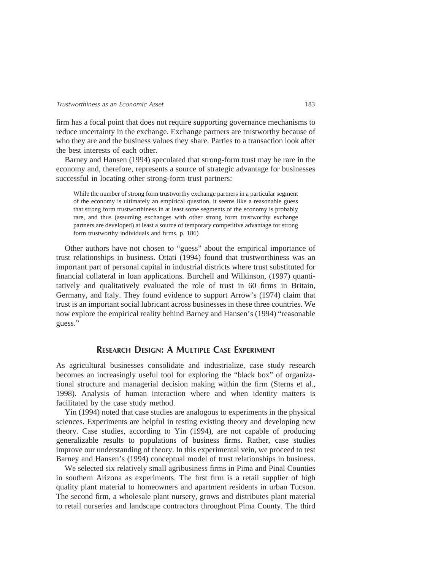firm has a focal point that does not require supporting governance mechanisms to reduce uncertainty in the exchange. Exchange partners are trustworthy because of who they are and the business values they share. Parties to a transaction look after the best interests of each other.

Barney and Hansen (1994) speculated that strong-form trust may be rare in the economy and, therefore, represents a source of strategic advantage for businesses successful in locating other strong-form trust partners:

While the number of strong form trustworthy exchange partners in a particular segment of the economy is ultimately an empirical question, it seems like a reasonable guess that strong form trustworthiness in at least some segments of the economy is probably rare, and thus (assuming exchanges with other strong form trustworthy exchange partners are developed) at least a source of temporary competitive advantage for strong form trustworthy individuals and firms. p. 186)

Other authors have not chosen to "guess" about the empirical importance of trust relationships in business. Ottati (1994) found that trustworthiness was an important part of personal capital in industrial districts where trust substituted for financial collateral in loan applications. Burchell and Wilkinson, (1997) quantitatively and qualitatively evaluated the role of trust in 60 firms in Britain, Germany, and Italy. They found evidence to support Arrow's (1974) claim that trust is an important social lubricant across businesses in these three countries. We now explore the empirical reality behind Barney and Hansen's (1994) "reasonable guess."

## **RESEARCH DESIGN:AMULTIPLE CASE EXPERIMENT**

As agricultural businesses consolidate and industrialize, case study research becomes an increasingly useful tool for exploring the "black box" of organizational structure and managerial decision making within the firm (Sterns et al., 1998). Analysis of human interaction where and when identity matters is facilitated by the case study method.

Yin (1994) noted that case studies are analogous to experiments in the physical sciences. Experiments are helpful in testing existing theory and developing new theory. Case studies, according to Yin (1994), are not capable of producing generalizable results to populations of business firms. Rather, case studies improve our understanding of theory. In this experimental vein, we proceed to test Barney and Hansen's (1994) conceptual model of trust relationships in business.

We selected six relatively small agribusiness firms in Pima and Pinal Counties in southern Arizona as experiments. The first firm is a retail supplier of high quality plant material to homeowners and apartment residents in urban Tucson. The second firm, a wholesale plant nursery, grows and distributes plant material to retail nurseries and landscape contractors throughout Pima County. The third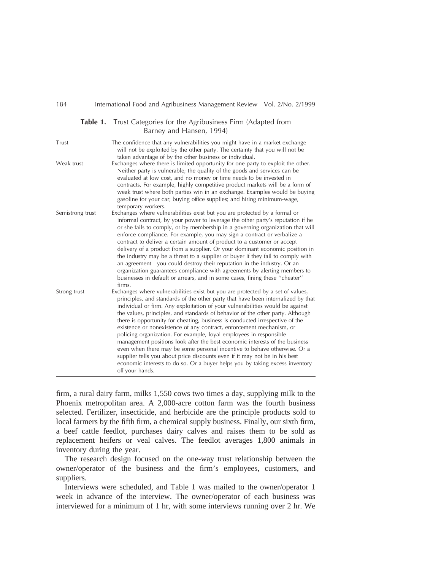184 International Food and Agribusiness Management Review Vol. 2/No. 2/1999

| Trust            | The confidence that any vulnerabilities you might have in a market exchange<br>will not be exploited by the other party. The certainty that you will not be<br>taken advantage of by the other business or individual.<br>Exchanges where there is limited opportunity for one party to exploit the other.<br>Neither party is vulnerable; the quality of the goods and services can be<br>evaluated at low cost, and no money or time needs to be invested in<br>contracts. For example, highly competitive product markets will be a form of<br>weak trust where both parties win in an exchange. Examples would be buying<br>gasoline for your car; buying office supplies; and hiring minimum-wage,<br>temporary workers.                                                                                                                                                                                    |  |  |  |  |
|------------------|------------------------------------------------------------------------------------------------------------------------------------------------------------------------------------------------------------------------------------------------------------------------------------------------------------------------------------------------------------------------------------------------------------------------------------------------------------------------------------------------------------------------------------------------------------------------------------------------------------------------------------------------------------------------------------------------------------------------------------------------------------------------------------------------------------------------------------------------------------------------------------------------------------------|--|--|--|--|
| Weak trust       |                                                                                                                                                                                                                                                                                                                                                                                                                                                                                                                                                                                                                                                                                                                                                                                                                                                                                                                  |  |  |  |  |
| Semistrong trust | Exchanges where vulnerabilities exist but you are protected by a formal or<br>informal contract, by your power to leverage the other party's reputation if he<br>or she fails to comply, or by membership in a governing organization that will<br>enforce compliance. For example, you may sign a contract or verbalize a<br>contract to deliver a certain amount of product to a customer or accept<br>delivery of a product from a supplier. Or your dominant economic position in<br>the industry may be a threat to a supplier or buyer if they fail to comply with<br>an agreement-you could destroy their reputation in the industry. Or an<br>organization guarantees compliance with agreements by alerting members to<br>businesses in default or arrears, and in some cases, fining these "cheater"<br>firms.                                                                                         |  |  |  |  |
| Strong trust     | Exchanges where vulnerabilities exist but you are protected by a set of values,<br>principles, and standards of the other party that have been internalized by that<br>individual or firm. Any exploitation of your vulnerabilities would be against<br>the values, principles, and standards of behavior of the other party. Although<br>there is opportunity for cheating, business is conducted irrespective of the<br>existence or nonexistence of any contract, enforcement mechanism, or<br>policing organization. For example, loyal employees in responsible<br>management positions look after the best economic interests of the business<br>even when there may be some personal incentive to behave otherwise. Or a<br>supplier tells you about price discounts even if it may not be in his best<br>economic interests to do so. Or a buyer helps you by taking excess inventory<br>off your hands. |  |  |  |  |

**Table 1.** Trust Categories for the Agribusiness Firm (Adapted from Barney and Hansen, 1994)

firm, a rural dairy farm, milks 1,550 cows two times a day, supplying milk to the Phoenix metropolitan area. A 2,000-acre cotton farm was the fourth business selected. Fertilizer, insecticide, and herbicide are the principle products sold to local farmers by the fifth firm, a chemical supply business. Finally, our sixth firm, a beef cattle feedlot, purchases dairy calves and raises them to be sold as replacement heifers or veal calves. The feedlot averages 1,800 animals in inventory during the year.

The research design focused on the one-way trust relationship between the owner/operator of the business and the firm's employees, customers, and suppliers.

Interviews were scheduled, and Table 1 was mailed to the owner/operator 1 week in advance of the interview. The owner/operator of each business was interviewed for a minimum of 1 hr, with some interviews running over 2 hr. We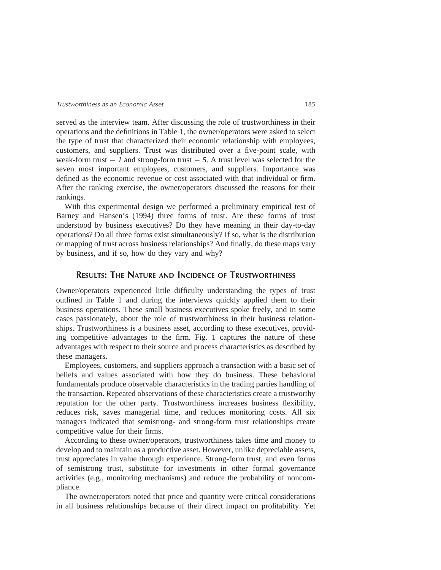served as the interview team. After discussing the role of trustworthiness in their operations and the definitions in Table 1, the owner/operators were asked to select the type of trust that characterized their economic relationship with employees, customers, and suppliers. Trust was distributed over a five-point scale, with weak-form trust  $= 1$  and strong-form trust  $= 5$ . A trust level was selected for the seven most important employees, customers, and suppliers. Importance was defined as the economic revenue or cost associated with that individual or firm. After the ranking exercise, the owner/operators discussed the reasons for their rankings.

With this experimental design we performed a preliminary empirical test of Barney and Hansen's (1994) three forms of trust. Are these forms of trust understood by business executives? Do they have meaning in their day-to-day operations? Do all three forms exist simultaneously? If so, what is the distribution or mapping of trust across business relationships? And finally, do these maps vary by business, and if so, how do they vary and why?

# **RESULTS: THE NATURE AND INCIDENCE OF TRUSTWORTHINESS**

Owner/operators experienced little difficulty understanding the types of trust outlined in Table 1 and during the interviews quickly applied them to their business operations. These small business executives spoke freely, and in some cases passionately, about the role of trustworthiness in their business relationships. Trustworthiness is a business asset, according to these executives, providing competitive advantages to the firm. Fig. 1 captures the nature of these advantages with respect to their source and process characteristics as described by these managers.

Employees, customers, and suppliers approach a transaction with a basic set of beliefs and values associated with how they do business. These behavioral fundamentals produce observable characteristics in the trading parties handling of the transaction. Repeated observations of these characteristics create a trustworthy reputation for the other party. Trustworthiness increases business flexibility, reduces risk, saves managerial time, and reduces monitoring costs. All six managers indicated that semistrong- and strong-form trust relationships create competitive value for their firms.

According to these owner/operators, trustworthiness takes time and money to develop and to maintain as a productive asset. However, unlike depreciable assets, trust appreciates in value through experience. Strong-form trust, and even forms of semistrong trust, substitute for investments in other formal governance activities (e.g., monitoring mechanisms) and reduce the probability of noncompliance.

The owner/operators noted that price and quantity were critical considerations in all business relationships because of their direct impact on profitability. Yet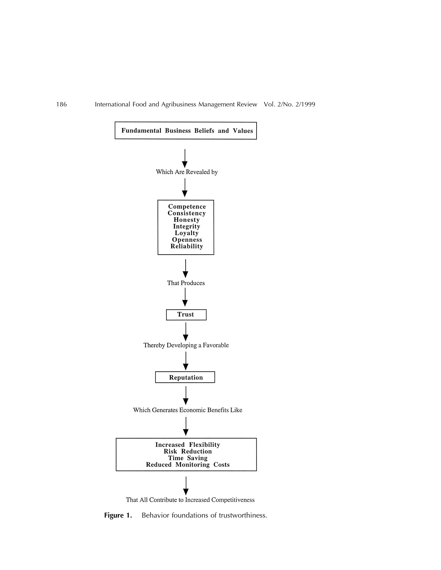

Figure 1. Behavior foundations of trustworthiness.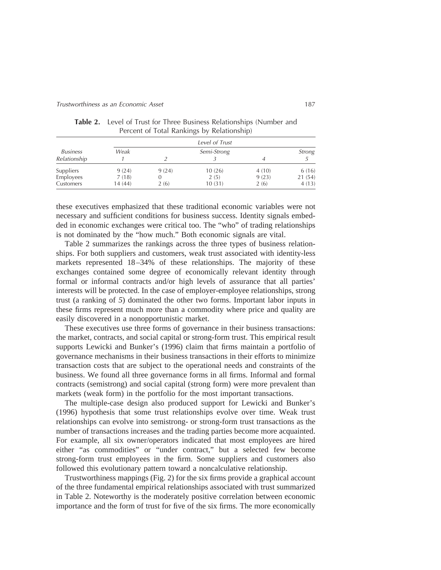| <b>Business</b><br>Relationship | Level of Trust |       |             |       |        |  |
|---------------------------------|----------------|-------|-------------|-------|--------|--|
|                                 | Weak           |       | Semi-Strong |       |        |  |
|                                 |                |       |             | 4     |        |  |
| Suppliers                       | 9(24)          | 9(24) | 10(26)      | 4(10) | 6(16)  |  |
| Employees                       | 7(18)          |       | 2(5)        | 9(23) | 21(54) |  |
| Customers                       | 14(44)         | 2(6)  | 10(31)      | 2(6)  | 4(13)  |  |

**Table 2.** Level of Trust for Three Business Relationships (Number and Percent of Total Rankings by Relationship)

these executives emphasized that these traditional economic variables were not necessary and sufficient conditions for business success. Identity signals embedded in economic exchanges were critical too. The "who" of trading relationships is not dominated by the "how much." Both economic signals are vital.

Table 2 summarizes the rankings across the three types of business relationships. For both suppliers and customers, weak trust associated with identity-less markets represented 18–34% of these relationships. The majority of these exchanges contained some degree of economically relevant identity through formal or informal contracts and/or high levels of assurance that all parties' interests will be protected. In the case of employer-employee relationships, strong trust (a ranking of *5*) dominated the other two forms. Important labor inputs in these firms represent much more than a commodity where price and quality are easily discovered in a nonopportunistic market.

These executives use three forms of governance in their business transactions: the market, contracts, and social capital or strong-form trust. This empirical result supports Lewicki and Bunker's (1996) claim that firms maintain a portfolio of governance mechanisms in their business transactions in their efforts to minimize transaction costs that are subject to the operational needs and constraints of the business. We found all three governance forms in all firms. Informal and formal contracts (semistrong) and social capital (strong form) were more prevalent than markets (weak form) in the portfolio for the most important transactions.

The multiple-case design also produced support for Lewicki and Bunker's (1996) hypothesis that some trust relationships evolve over time. Weak trust relationships can evolve into semistrong- or strong-form trust transactions as the number of transactions increases and the trading parties become more acquainted. For example, all six owner/operators indicated that most employees are hired either "as commodities" or "under contract," but a selected few become strong-form trust employees in the firm. Some suppliers and customers also followed this evolutionary pattern toward a noncalculative relationship.

Trustworthiness mappings (Fig. 2) for the six firms provide a graphical account of the three fundamental empirical relationships associated with trust summarized in Table 2. Noteworthy is the moderately positive correlation between economic importance and the form of trust for five of the six firms. The more economically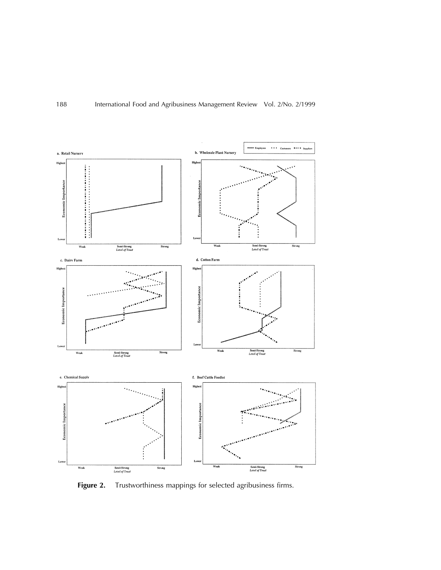

**Figure 2.** Trustworthiness mappings for selected agribusiness firms.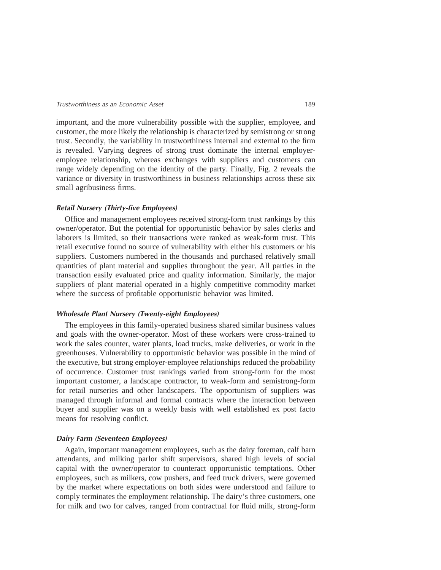important, and the more vulnerability possible with the supplier, employee, and customer, the more likely the relationship is characterized by semistrong or strong trust. Secondly, the variability in trustworthiness internal and external to the firm is revealed. Varying degrees of strong trust dominate the internal employeremployee relationship, whereas exchanges with suppliers and customers can range widely depending on the identity of the party. Finally, Fig. 2 reveals the variance or diversity in trustworthiness in business relationships across these six small agribusiness firms.

#### **Retail Nursery (Thirty-five Employees)**

Office and management employees received strong-form trust rankings by this owner/operator. But the potential for opportunistic behavior by sales clerks and laborers is limited, so their transactions were ranked as weak-form trust. This retail executive found no source of vulnerability with either his customers or his suppliers. Customers numbered in the thousands and purchased relatively small quantities of plant material and supplies throughout the year. All parties in the transaction easily evaluated price and quality information. Similarly, the major suppliers of plant material operated in a highly competitive commodity market where the success of profitable opportunistic behavior was limited.

#### **Wholesale Plant Nursery (Twenty-eight Employees)**

The employees in this family-operated business shared similar business values and goals with the owner-operator. Most of these workers were cross-trained to work the sales counter, water plants, load trucks, make deliveries, or work in the greenhouses. Vulnerability to opportunistic behavior was possible in the mind of the executive, but strong employer-employee relationships reduced the probability of occurrence. Customer trust rankings varied from strong-form for the most important customer, a landscape contractor, to weak-form and semistrong-form for retail nurseries and other landscapers. The opportunism of suppliers was managed through informal and formal contracts where the interaction between buyer and supplier was on a weekly basis with well established ex post facto means for resolving conflict.

#### **Dairy Farm (Seventeen Employees)**

Again, important management employees, such as the dairy foreman, calf barn attendants, and milking parlor shift supervisors, shared high levels of social capital with the owner/operator to counteract opportunistic temptations. Other employees, such as milkers, cow pushers, and feed truck drivers, were governed by the market where expectations on both sides were understood and failure to comply terminates the employment relationship. The dairy's three customers, one for milk and two for calves, ranged from contractual for fluid milk, strong-form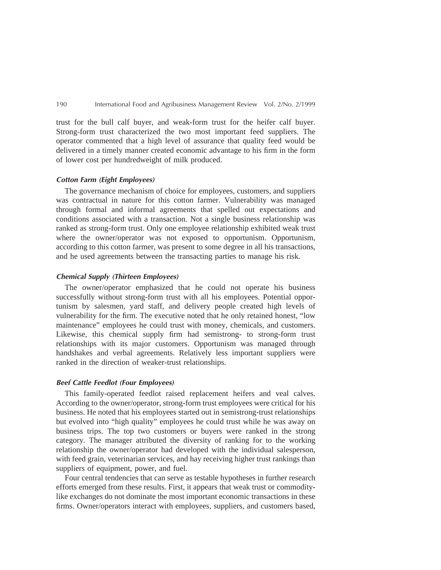trust for the bull calf buyer, and weak-form trust for the heifer calf buyer. Strong-form trust characterized the two most important feed suppliers. The operator commented that a high level of assurance that quality feed would be delivered in a timely manner created economic advantage to his firm in the form of lower cost per hundredweight of milk produced.

#### **Cotton Farm (Eight Employees)**

The governance mechanism of choice for employees, customers, and suppliers was contractual in nature for this cotton farmer. Vulnerability was managed through formal and informal agreements that spelled out expectations and conditions associated with a transaction. Not a single business relationship was ranked as strong-form trust. Only one employee relationship exhibited weak trust where the owner/operator was not exposed to opportunism. Opportunism, according to this cotton farmer, was present to some degree in all his transactions, and he used agreements between the transacting parties to manage his risk.

## **Chemical Supply (Thirteen Employees)**

The owner/operator emphasized that he could not operate his business successfully without strong-form trust with all his employees. Potential opportunism by salesmen, yard staff, and delivery people created high levels of vulnerability for the firm. The executive noted that he only retained honest, "low maintenance" employees he could trust with money, chemicals, and customers. Likewise, this chemical supply firm had semistrong- to strong-form trust relationships with its major customers. Opportunism was managed through handshakes and verbal agreements. Relatively less important suppliers were ranked in the direction of weaker-trust relationships.

## **Beef Cattle Feedlot (Four Employees)**

This family-operated feedlot raised replacement heifers and veal calves. According to the owner/operator, strong-form trust employees were critical for his business. He noted that his employees started out in semistrong-trust relationships but evolved into "high quality" employees he could trust while he was away on business trips. The top two customers or buyers were ranked in the strong category. The manager attributed the diversity of ranking for to the working relationship the owner/operator had developed with the individual salesperson, with feed grain, veterinarian services, and hay receiving higher trust rankings than suppliers of equipment, power, and fuel.

Four central tendencies that can serve as testable hypotheses in further research efforts emerged from these results. First, it appears that weak trust or commoditylike exchanges do not dominate the most important economic transactions in these firms. Owner/operators interact with employees, suppliers, and customers based,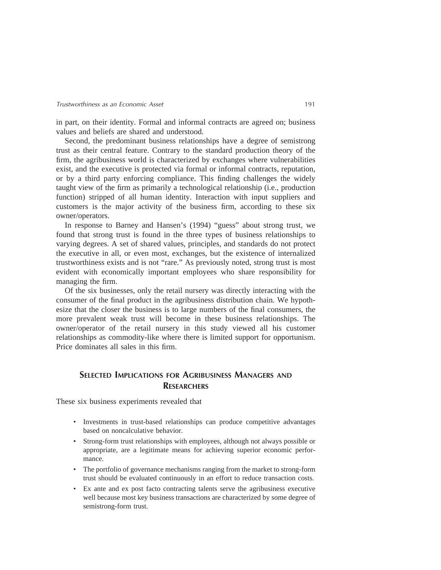in part, on their identity. Formal and informal contracts are agreed on; business values and beliefs are shared and understood.

Second, the predominant business relationships have a degree of semistrong trust as their central feature. Contrary to the standard production theory of the firm, the agribusiness world is characterized by exchanges where vulnerabilities exist, and the executive is protected via formal or informal contracts, reputation, or by a third party enforcing compliance. This finding challenges the widely taught view of the firm as primarily a technological relationship (i.e., production function) stripped of all human identity. Interaction with input suppliers and customers is the major activity of the business firm, according to these six owner/operators.

In response to Barney and Hansen's (1994) "guess" about strong trust, we found that strong trust is found in the three types of business relationships to varying degrees. A set of shared values, principles, and standards do not protect the executive in all, or even most, exchanges, but the existence of internalized trustworthiness exists and is not "rare." As previously noted, strong trust is most evident with economically important employees who share responsibility for managing the firm.

Of the six businesses, only the retail nursery was directly interacting with the consumer of the final product in the agribusiness distribution chain. We hypothesize that the closer the business is to large numbers of the final consumers, the more prevalent weak trust will become in these business relationships. The owner/operator of the retail nursery in this study viewed all his customer relationships as commodity-like where there is limited support for opportunism. Price dominates all sales in this firm.

# **SELECTED IMPLICATIONS FOR AGRIBUSINESS MANAGERS AND RESEARCHERS**

These six business experiments revealed that

- Investments in trust-based relationships can produce competitive advantages based on noncalculative behavior.
- Strong-form trust relationships with employees, although not always possible or appropriate, are a legitimate means for achieving superior economic performance.
- The portfolio of governance mechanisms ranging from the market to strong-form trust should be evaluated continuously in an effort to reduce transaction costs.
- Ex ante and ex post facto contracting talents serve the agribusiness executive well because most key business transactions are characterized by some degree of semistrong-form trust.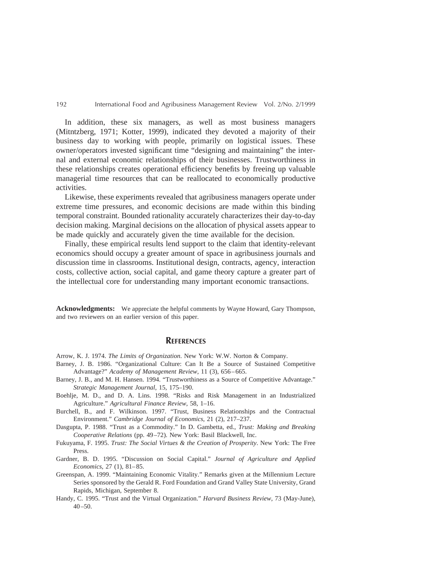In addition, these six managers, as well as most business managers (Mitntzberg, 1971; Kotter, 1999), indicated they devoted a majority of their business day to working with people, primarily on logistical issues. These owner/operators invested significant time "designing and maintaining" the internal and external economic relationships of their businesses. Trustworthiness in these relationships creates operational efficiency benefits by freeing up valuable managerial time resources that can be reallocated to economically productive activities.

Likewise, these experiments revealed that agribusiness managers operate under extreme time pressures, and economic decisions are made within this binding temporal constraint. Bounded rationality accurately characterizes their day-to-day decision making. Marginal decisions on the allocation of physical assets appear to be made quickly and accurately given the time available for the decision.

Finally, these empirical results lend support to the claim that identity-relevant economics should occupy a greater amount of space in agribusiness journals and discussion time in classrooms. Institutional design, contracts, agency, interaction costs, collective action, social capital, and game theory capture a greater part of the intellectual core for understanding many important economic transactions.

**Acknowledgments:** We appreciate the helpful comments by Wayne Howard, Gary Thompson, and two reviewers on an earlier version of this paper.

## **REFERENCES**

Arrow, K. J. 1974. *The Limits of Organization*. New York: W.W. Norton & Company.

- Barney, J. B. 1986. "Organizational Culture: Can It Be a Source of Sustained Competitive Advantage?" *Academy of Management Review*, 11 (3), 656–665.
- Barney, J. B., and M. H. Hansen. 1994. "Trustworthiness as a Source of Competitive Advantage." *Strategic Management Journal*, 15, 175–190.
- Boehlje, M. D., and D. A. Lins. 1998. "Risks and Risk Management in an Industrialized Agriculture." *Agricultural Finance Review*, 58, 1–16.
- Burchell, B., and F. Wilkinson. 1997. "Trust, Business Relationships and the Contractual Environment." *Cambridge Journal of Economics*, 21 (2), 217–237.
- Dasgupta, P. 1988. "Trust as a Commodity." In D. Gambetta, ed., *Trust: Making and Breaking Cooperative Relations* (pp. 49–72). New York: Basil Blackwell, Inc.
- Fukuyama, F. 1995. *Trust: The Social Virtues & the Creation of Prosperity*. New York: The Free Press.
- Gardner, B. D. 1995. "Discussion on Social Capital." *Journal of Agriculture and Applied Economics*, 27 (1), 81–85.
- Greenspan, A. 1999. "Maintaining Economic Vitality." Remarks given at the Millennium Lecture Series sponsored by the Gerald R. Ford Foundation and Grand Valley State University, Grand Rapids, Michigan, September 8.
- Handy, C. 1995. "Trust and the Virtual Organization." *Harvard Business Review*, 73 (May-June),  $40 - 50$ .